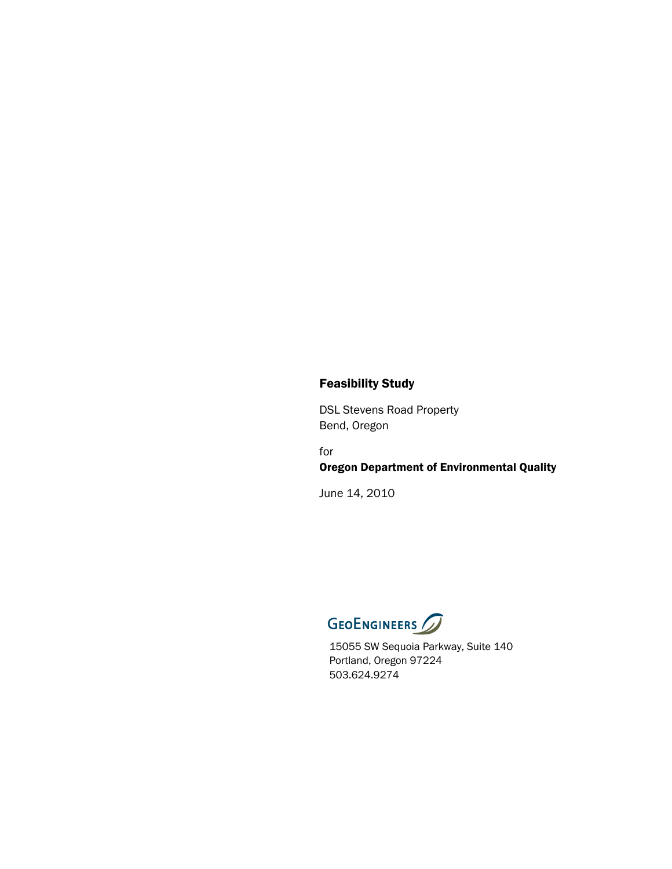# Feasibility Study

DSL Stevens Road Property Bend, Oregon

for Oregon Department of Environmental Quality

June 14, 2010



15055 SW Sequoia Parkway, Suite 140 Portland, Oregon 97224 503.624.9274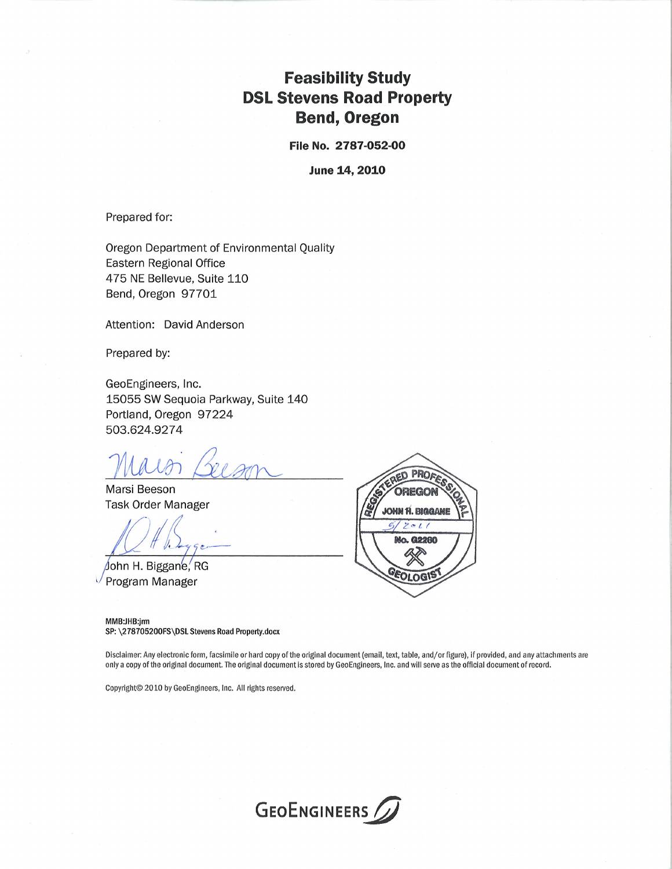# **Feasibility Study DSL Stevens Road Property Bend, Oregon**

File No. 2787-052-00

**June 14, 2010** 

Prepared for:

Oregon Department of Environmental Quality **Eastern Regional Office** 475 NE Bellevue, Suite 110 Bend, Oregon 97701

Attention: David Anderson

Prepared by:

GeoEngineers, Inc. 15055 SW Sequoia Parkway, Suite 140 Portland, Oregon 97224 503.624.9274

Marsi Beeson **Task Order Manager** 

John H. Biggane, RG Program Manager



MMB:JHB:irm SP: \278705200FS\DSL Stevens Road Property.docx

Disclaimer: Any electronic form, facsimile or hard copy of the original document (email, text, table, and/or figure), if provided, and any attachments are only a copy of the original document. The original document is stored by GeoEngineers, Inc. and will serve as the official document of record.

Copyright© 2010 by GeoEngineers, Inc. All rights reserved.

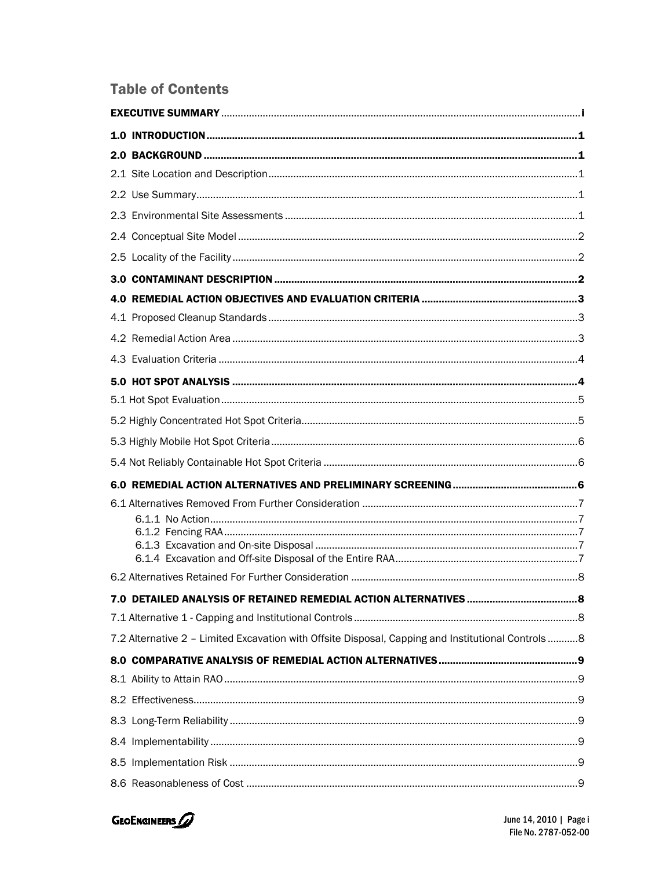# **Table of Contents**

| 7.2 Alternative 2 - Limited Excavation with Offsite Disposal, Capping and Institutional Controls 8 |  |
|----------------------------------------------------------------------------------------------------|--|
|                                                                                                    |  |
|                                                                                                    |  |
|                                                                                                    |  |
|                                                                                                    |  |
|                                                                                                    |  |
|                                                                                                    |  |
|                                                                                                    |  |

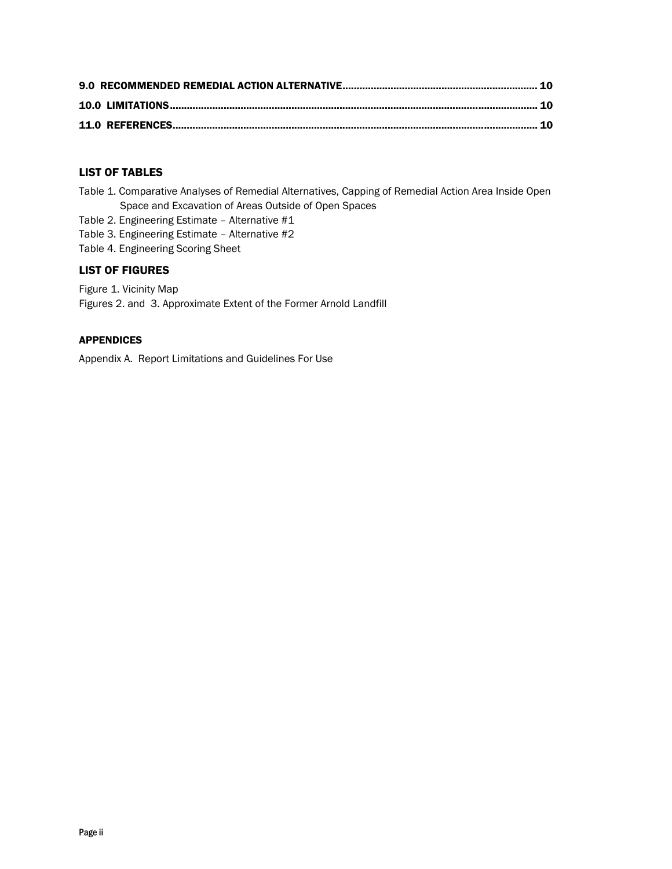# LIST OF TABLES

- Table 1. Comparative Analyses of Remedial Alternatives, Capping of Remedial Action Area Inside Open Space and Excavation of Areas Outside of Open Spaces
- Table 2. Engineering Estimate Alternative #1
- Table 3. Engineering Estimate Alternative #2
- Table 4. Engineering Scoring Sheet

### LIST OF FIGURES

Figure 1. Vicinity Map Figures 2. and 3. Approximate Extent of the Former Arnold Landfill

### APPENDICES

Appendix A. Report Limitations and Guidelines For Use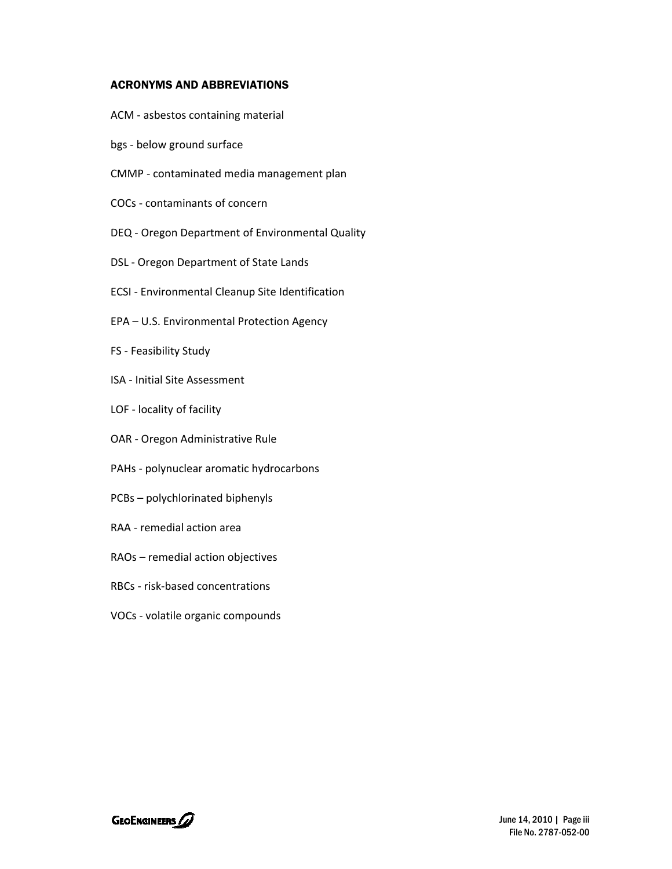### ACRONYMS AND ABBREVIATIONS

- ACM ‐ asbestos containing material
- bgs ‐ below ground surface
- CMMP ‐ contaminated media management plan
- COCs ‐ contaminants of concern
- DEQ ‐ Oregon Department of Environmental Quality
- DSL ‐ Oregon Department of State Lands
- ECSI ‐ Environmental Cleanup Site Identification
- EPA U.S. Environmental Protection Agency
- FS ‐ Feasibility Study
- ISA ‐ Initial Site Assessment
- LOF ‐ locality of facility
- OAR ‐ Oregon Administrative Rule
- PAHs ‐ polynuclear aromatic hydrocarbons
- PCBs polychlorinated biphenyls
- RAA ‐ remedial action area
- RAOs remedial action objectives
- RBCs ‐ risk‐based concentrations
- VOCs ‐ volatile organic compounds

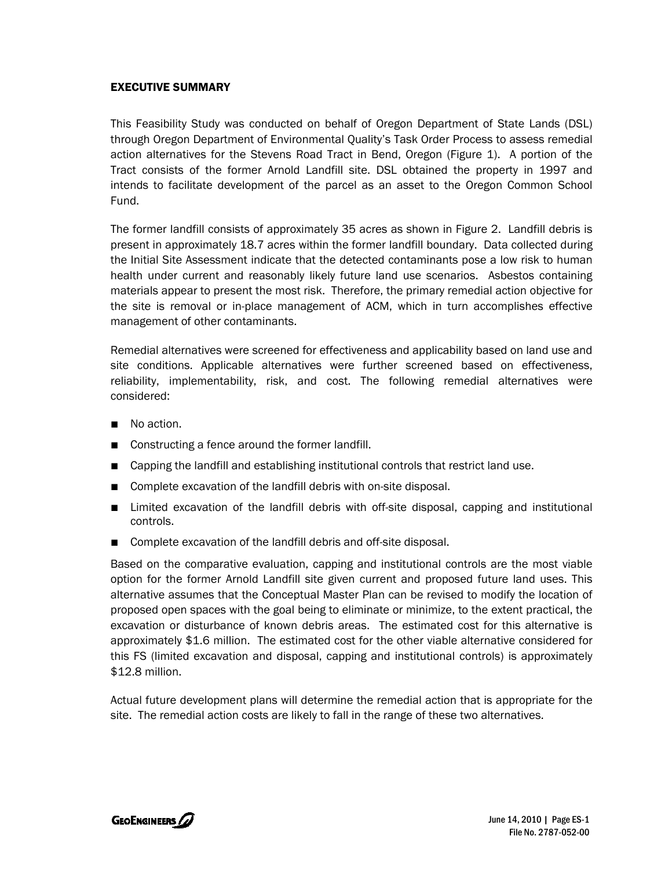# EXECUTIVE SUMMARY

This Feasibility Study was conducted on behalf of Oregon Department of State Lands (DSL) through Oregon Department of Environmental Quality's Task Order Process to assess remedial action alternatives for the Stevens Road Tract in Bend, Oregon (Figure 1). A portion of the Tract consists of the former Arnold Landfill site. DSL obtained the property in 1997 and intends to facilitate development of the parcel as an asset to the Oregon Common School Fund.

The former landfill consists of approximately 35 acres as shown in Figure 2. Landfill debris is present in approximately 18.7 acres within the former landfill boundary. Data collected during the Initial Site Assessment indicate that the detected contaminants pose a low risk to human health under current and reasonably likely future land use scenarios. Asbestos containing materials appear to present the most risk. Therefore, the primary remedial action objective for the site is removal or in-place management of ACM, which in turn accomplishes effective management of other contaminants.

Remedial alternatives were screened for effectiveness and applicability based on land use and site conditions. Applicable alternatives were further screened based on effectiveness, reliability, implementability, risk, and cost. The following remedial alternatives were considered:

- No action.
- Constructing a fence around the former landfill.
- Capping the landfill and establishing institutional controls that restrict land use.
- Complete excavation of the landfill debris with on-site disposal.
- Limited excavation of the landfill debris with off-site disposal, capping and institutional controls.
- Complete excavation of the landfill debris and off-site disposal.

Based on the comparative evaluation, capping and institutional controls are the most viable option for the former Arnold Landfill site given current and proposed future land uses. This alternative assumes that the Conceptual Master Plan can be revised to modify the location of proposed open spaces with the goal being to eliminate or minimize, to the extent practical, the excavation or disturbance of known debris areas. The estimated cost for this alternative is approximately \$1.6 million. The estimated cost for the other viable alternative considered for this FS (limited excavation and disposal, capping and institutional controls) is approximately \$12.8 million.

Actual future development plans will determine the remedial action that is appropriate for the site. The remedial action costs are likely to fall in the range of these two alternatives.

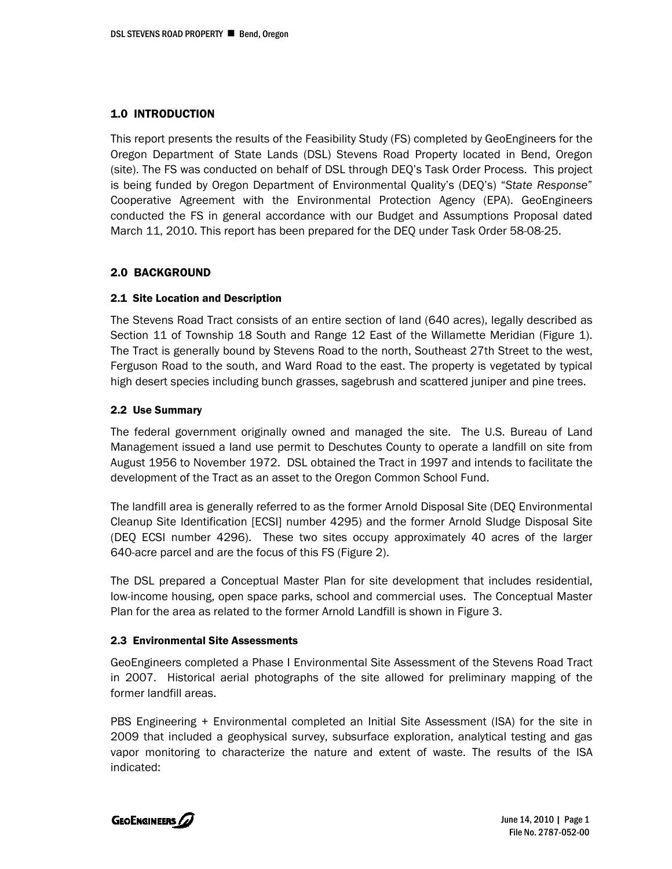# 1.0 INTRODUCTION

This report presents the results of the Feasibility Study (FS) completed by GeoEngineers for the Oregon Department of State Lands (DSL) Stevens Road Property located in Bend, Oregon (site). The FS was conducted on behalf of DSL through DEQ's Task Order Process. This project is being funded by Oregon Department of Environmental Quality's (DEQ's) "*State Response*" Cooperative Agreement with the Environmental Protection Agency (EPA). GeoEngineers conducted the FS in general accordance with our Budget and Assumptions Proposal dated March 11, 2010. This report has been prepared for the DEQ under Task Order 58-08-25.

# 2.0 BACKGROUND

### 2.1 Site Location and Description

The Stevens Road Tract consists of an entire section of land (640 acres), legally described as Section 11 of Township 18 South and Range 12 East of the Willamette Meridian (Figure 1). The Tract is generally bound by Stevens Road to the north, Southeast 27th Street to the west, Ferguson Road to the south, and Ward Road to the east. The property is vegetated by typical high desert species including bunch grasses, sagebrush and scattered juniper and pine trees.

# 2.2 Use Summary

The federal government originally owned and managed the site. The U.S. Bureau of Land Management issued a land use permit to Deschutes County to operate a landfill on site from August 1956 to November 1972. DSL obtained the Tract in 1997 and intends to facilitate the development of the Tract as an asset to the Oregon Common School Fund.

The landfill area is generally referred to as the former Arnold Disposal Site (DEQ Environmental Cleanup Site Identification [ECSI] number 4295) and the former Arnold Sludge Disposal Site (DEQ ECSI number 4296). These two sites occupy approximately 40 acres of the larger 640-acre parcel and are the focus of this FS (Figure 2).

The DSL prepared a Conceptual Master Plan for site development that includes residential, low-income housing, open space parks, school and commercial uses. The Conceptual Master Plan for the area as related to the former Arnold Landfill is shown in Figure 3.

### 2.3 Environmental Site Assessments

GeoEngineers completed a Phase I Environmental Site Assessment of the Stevens Road Tract in 2007. Historical aerial photographs of the site allowed for preliminary mapping of the former landfill areas.

PBS Engineering + Environmental completed an Initial Site Assessment (ISA) for the site in 2009 that included a geophysical survey, subsurface exploration, analytical testing and gas vapor monitoring to characterize the nature and extent of waste. The results of the ISA indicated:

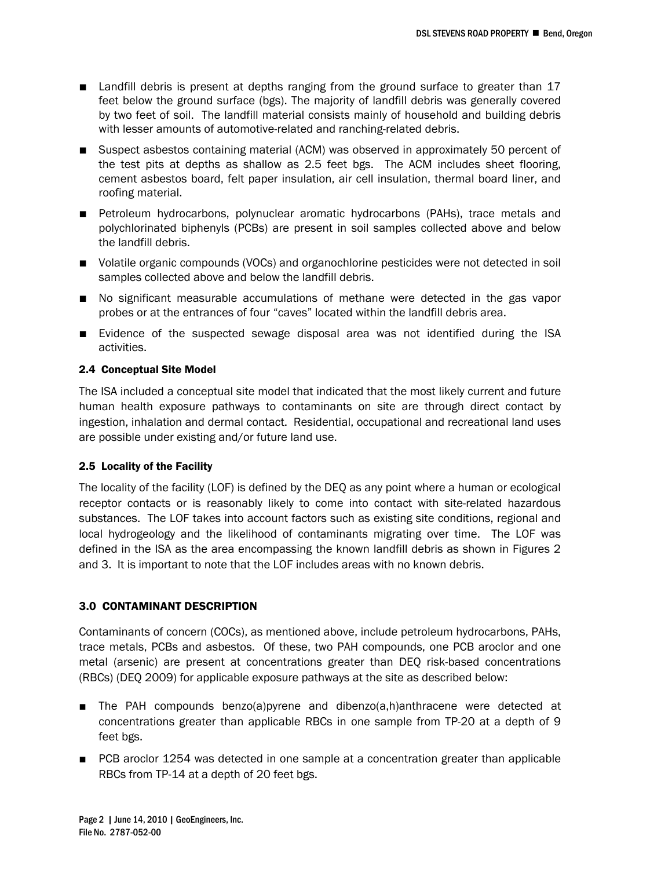- Landfill debris is present at depths ranging from the ground surface to greater than 17 feet below the ground surface (bgs). The majority of landfill debris was generally covered by two feet of soil. The landfill material consists mainly of household and building debris with lesser amounts of automotive-related and ranching-related debris.
- Suspect asbestos containing material (ACM) was observed in approximately 50 percent of the test pits at depths as shallow as 2.5 feet bgs. The ACM includes sheet flooring, cement asbestos board, felt paper insulation, air cell insulation, thermal board liner, and roofing material.
- Petroleum hydrocarbons, polynuclear aromatic hydrocarbons (PAHs), trace metals and polychlorinated biphenyls (PCBs) are present in soil samples collected above and below the landfill debris.
- Volatile organic compounds (VOCs) and organochlorine pesticides were not detected in soil samples collected above and below the landfill debris.
- No significant measurable accumulations of methane were detected in the gas vapor probes or at the entrances of four "caves" located within the landfill debris area.
- Evidence of the suspected sewage disposal area was not identified during the ISA activities.

### 2.4 Conceptual Site Model

The ISA included a conceptual site model that indicated that the most likely current and future human health exposure pathways to contaminants on site are through direct contact by ingestion, inhalation and dermal contact. Residential, occupational and recreational land uses are possible under existing and/or future land use.

### 2.5 Locality of the Facility

The locality of the facility (LOF) is defined by the DEQ as any point where a human or ecological receptor contacts or is reasonably likely to come into contact with site-related hazardous substances. The LOF takes into account factors such as existing site conditions, regional and local hydrogeology and the likelihood of contaminants migrating over time. The LOF was defined in the ISA as the area encompassing the known landfill debris as shown in Figures 2 and 3. It is important to note that the LOF includes areas with no known debris.

# 3.0 CONTAMINANT DESCRIPTION

Contaminants of concern (COCs), as mentioned above, include petroleum hydrocarbons, PAHs, trace metals, PCBs and asbestos. Of these, two PAH compounds, one PCB aroclor and one metal (arsenic) are present at concentrations greater than DEQ risk-based concentrations (RBCs) (DEQ 2009) for applicable exposure pathways at the site as described below:

- The PAH compounds benzo(a)pyrene and dibenzo(a,h)anthracene were detected at concentrations greater than applicable RBCs in one sample from TP-20 at a depth of 9 feet bgs.
- PCB aroclor 1254 was detected in one sample at a concentration greater than applicable RBCs from TP-14 at a depth of 20 feet bgs.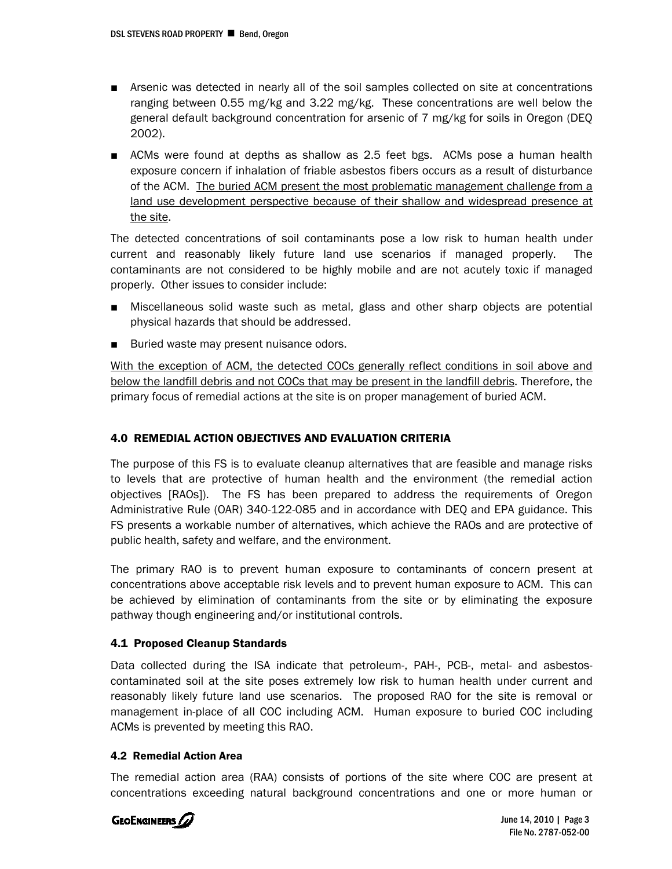- Arsenic was detected in nearly all of the soil samples collected on site at concentrations ranging between 0.55 mg/kg and 3.22 mg/kg. These concentrations are well below the general default background concentration for arsenic of 7 mg/kg for soils in Oregon (DEQ 2002).
- ACMs were found at depths as shallow as 2.5 feet bgs. ACMs pose a human health exposure concern if inhalation of friable asbestos fibers occurs as a result of disturbance of the ACM. The buried ACM present the most problematic management challenge from a land use development perspective because of their shallow and widespread presence at the site.

The detected concentrations of soil contaminants pose a low risk to human health under current and reasonably likely future land use scenarios if managed properly. The contaminants are not considered to be highly mobile and are not acutely toxic if managed properly. Other issues to consider include:

- Miscellaneous solid waste such as metal, glass and other sharp objects are potential physical hazards that should be addressed.
- Buried waste may present nuisance odors.

With the exception of ACM, the detected COCs generally reflect conditions in soil above and below the landfill debris and not COCs that may be present in the landfill debris. Therefore, the primary focus of remedial actions at the site is on proper management of buried ACM.

# 4.0 REMEDIAL ACTION OBJECTIVES AND EVALUATION CRITERIA

The purpose of this FS is to evaluate cleanup alternatives that are feasible and manage risks to levels that are protective of human health and the environment (the remedial action objectives [RAOs]). The FS has been prepared to address the requirements of Oregon Administrative Rule (OAR) 340-122-085 and in accordance with DEQ and EPA guidance. This FS presents a workable number of alternatives, which achieve the RAOs and are protective of public health, safety and welfare, and the environment.

The primary RAO is to prevent human exposure to contaminants of concern present at concentrations above acceptable risk levels and to prevent human exposure to ACM. This can be achieved by elimination of contaminants from the site or by eliminating the exposure pathway though engineering and/or institutional controls.

### 4.1 Proposed Cleanup Standards

Data collected during the ISA indicate that petroleum-, PAH-, PCB-, metal- and asbestoscontaminated soil at the site poses extremely low risk to human health under current and reasonably likely future land use scenarios. The proposed RAO for the site is removal or management in-place of all COC including ACM. Human exposure to buried COC including ACMs is prevented by meeting this RAO.

### 4.2 Remedial Action Area

The remedial action area (RAA) consists of portions of the site where COC are present at concentrations exceeding natural background concentrations and one or more human or

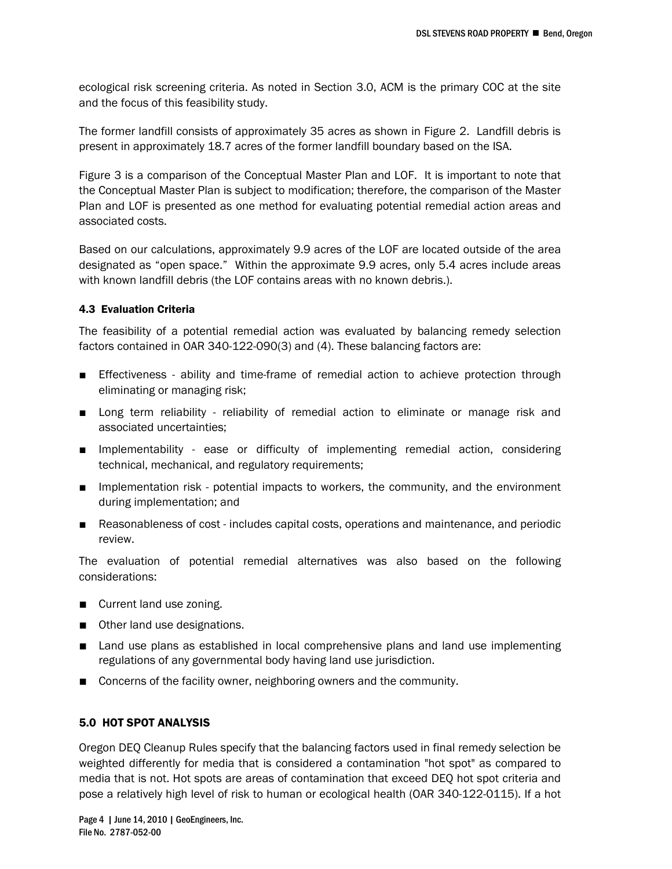ecological risk screening criteria. As noted in Section 3.0, ACM is the primary COC at the site and the focus of this feasibility study.

The former landfill consists of approximately 35 acres as shown in Figure 2. Landfill debris is present in approximately 18.7 acres of the former landfill boundary based on the ISA.

Figure 3 is a comparison of the Conceptual Master Plan and LOF. It is important to note that the Conceptual Master Plan is subject to modification; therefore, the comparison of the Master Plan and LOF is presented as one method for evaluating potential remedial action areas and associated costs.

Based on our calculations, approximately 9.9 acres of the LOF are located outside of the area designated as "open space." Within the approximate 9.9 acres, only 5.4 acres include areas with known landfill debris (the LOF contains areas with no known debris.).

### 4.3 Evaluation Criteria

The feasibility of a potential remedial action was evaluated by balancing remedy selection factors contained in OAR 340-122-090(3) and (4). These balancing factors are:

- Effectiveness ability and time-frame of remedial action to achieve protection through eliminating or managing risk;
- Long term reliability reliability of remedial action to eliminate or manage risk and associated uncertainties;
- Implementability ease or difficulty of implementing remedial action, considering technical, mechanical, and regulatory requirements;
- Implementation risk potential impacts to workers, the community, and the environment during implementation; and
- Reasonableness of cost includes capital costs, operations and maintenance, and periodic review.

The evaluation of potential remedial alternatives was also based on the following considerations:

- Current land use zoning.
- Other land use designations.
- Land use plans as established in local comprehensive plans and land use implementing regulations of any governmental body having land use jurisdiction.
- Concerns of the facility owner, neighboring owners and the community.

### 5.0 HOT SPOT ANALYSIS

Oregon DEQ Cleanup Rules specify that the balancing factors used in final remedy selection be weighted differently for media that is considered a contamination "hot spot" as compared to media that is not. Hot spots are areas of contamination that exceed DEQ hot spot criteria and pose a relatively high level of risk to human or ecological health (OAR 340-122-0115). If a hot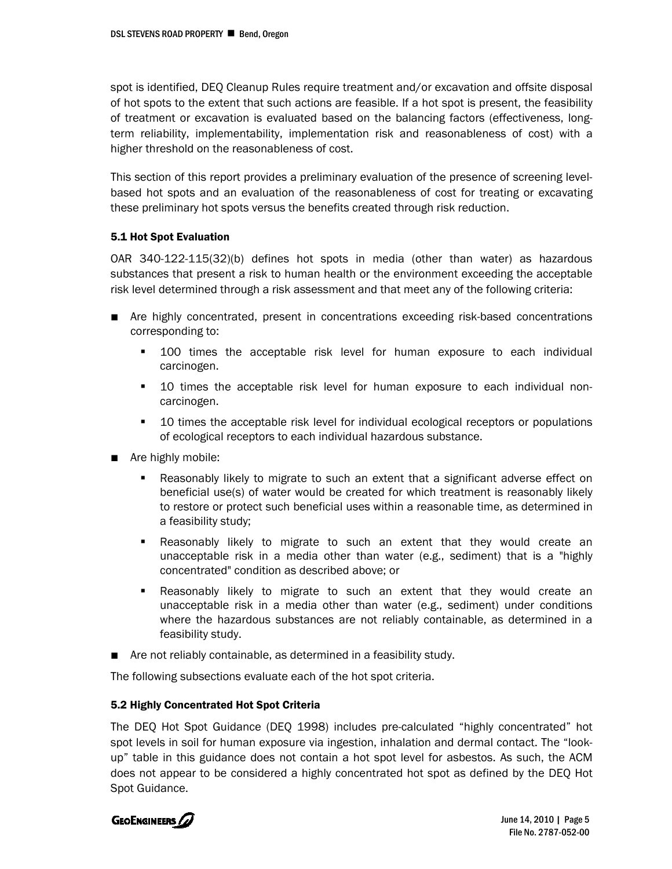spot is identified, DEQ Cleanup Rules require treatment and/or excavation and offsite disposal of hot spots to the extent that such actions are feasible. If a hot spot is present, the feasibility of treatment or excavation is evaluated based on the balancing factors (effectiveness, longterm reliability, implementability, implementation risk and reasonableness of cost) with a higher threshold on the reasonableness of cost.

This section of this report provides a preliminary evaluation of the presence of screening levelbased hot spots and an evaluation of the reasonableness of cost for treating or excavating these preliminary hot spots versus the benefits created through risk reduction.

### 5.1 Hot Spot Evaluation

OAR 340-122-115(32)(b) defines hot spots in media (other than water) as hazardous substances that present a risk to human health or the environment exceeding the acceptable risk level determined through a risk assessment and that meet any of the following criteria:

- Are highly concentrated, present in concentrations exceeding risk-based concentrations corresponding to:
	- 100 times the acceptable risk level for human exposure to each individual carcinogen.
	- 10 times the acceptable risk level for human exposure to each individual noncarcinogen.
	- **10 times the acceptable risk level for individual ecological receptors or populations** of ecological receptors to each individual hazardous substance.
- Are highly mobile:
	- Reasonably likely to migrate to such an extent that a significant adverse effect on beneficial use(s) of water would be created for which treatment is reasonably likely to restore or protect such beneficial uses within a reasonable time, as determined in a feasibility study;
	- Reasonably likely to migrate to such an extent that they would create an unacceptable risk in a media other than water (e.g., sediment) that is a "highly concentrated" condition as described above; or
	- Reasonably likely to migrate to such an extent that they would create an unacceptable risk in a media other than water (e.g., sediment) under conditions where the hazardous substances are not reliably containable, as determined in a feasibility study.
- Are not reliably containable, as determined in a feasibility study.

The following subsections evaluate each of the hot spot criteria.

### 5.2 Highly Concentrated Hot Spot Criteria

The DEQ Hot Spot Guidance (DEQ 1998) includes pre-calculated "highly concentrated" hot spot levels in soil for human exposure via ingestion, inhalation and dermal contact. The "lookup" table in this guidance does not contain a hot spot level for asbestos. As such, the ACM does not appear to be considered a highly concentrated hot spot as defined by the DEQ Hot Spot Guidance.



June 14, 2010 | Page 5 File No. 2787-052-00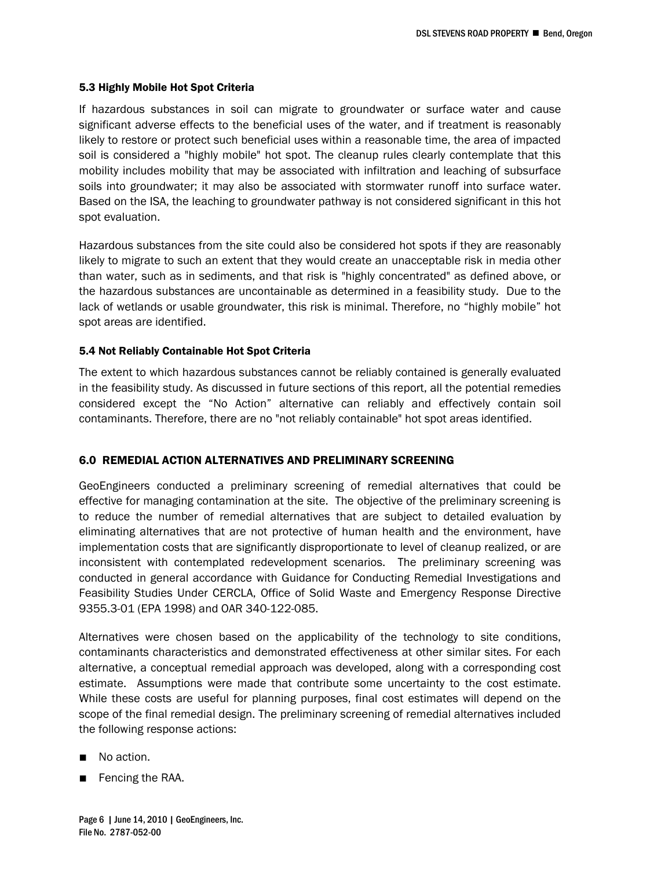#### 5.3 Highly Mobile Hot Spot Criteria

If hazardous substances in soil can migrate to groundwater or surface water and cause significant adverse effects to the beneficial uses of the water, and if treatment is reasonably likely to restore or protect such beneficial uses within a reasonable time, the area of impacted soil is considered a "highly mobile" hot spot. The cleanup rules clearly contemplate that this mobility includes mobility that may be associated with infiltration and leaching of subsurface soils into groundwater; it may also be associated with stormwater runoff into surface water. Based on the ISA, the leaching to groundwater pathway is not considered significant in this hot spot evaluation.

Hazardous substances from the site could also be considered hot spots if they are reasonably likely to migrate to such an extent that they would create an unacceptable risk in media other than water, such as in sediments, and that risk is "highly concentrated" as defined above, or the hazardous substances are uncontainable as determined in a feasibility study. Due to the lack of wetlands or usable groundwater, this risk is minimal. Therefore, no "highly mobile" hot spot areas are identified.

#### 5.4 Not Reliably Containable Hot Spot Criteria

The extent to which hazardous substances cannot be reliably contained is generally evaluated in the feasibility study. As discussed in future sections of this report, all the potential remedies considered except the "No Action" alternative can reliably and effectively contain soil contaminants. Therefore, there are no "not reliably containable" hot spot areas identified.

#### 6.0 REMEDIAL ACTION ALTERNATIVES AND PRELIMINARY SCREENING

GeoEngineers conducted a preliminary screening of remedial alternatives that could be effective for managing contamination at the site. The objective of the preliminary screening is to reduce the number of remedial alternatives that are subject to detailed evaluation by eliminating alternatives that are not protective of human health and the environment, have implementation costs that are significantly disproportionate to level of cleanup realized, or are inconsistent with contemplated redevelopment scenarios. The preliminary screening was conducted in general accordance with Guidance for Conducting Remedial Investigations and Feasibility Studies Under CERCLA, Office of Solid Waste and Emergency Response Directive 9355.3-01 (EPA 1998) and OAR 340-122-085.

Alternatives were chosen based on the applicability of the technology to site conditions, contaminants characteristics and demonstrated effectiveness at other similar sites. For each alternative, a conceptual remedial approach was developed, along with a corresponding cost estimate. Assumptions were made that contribute some uncertainty to the cost estimate. While these costs are useful for planning purposes, final cost estimates will depend on the scope of the final remedial design. The preliminary screening of remedial alternatives included the following response actions:

- No action.
- Fencing the RAA.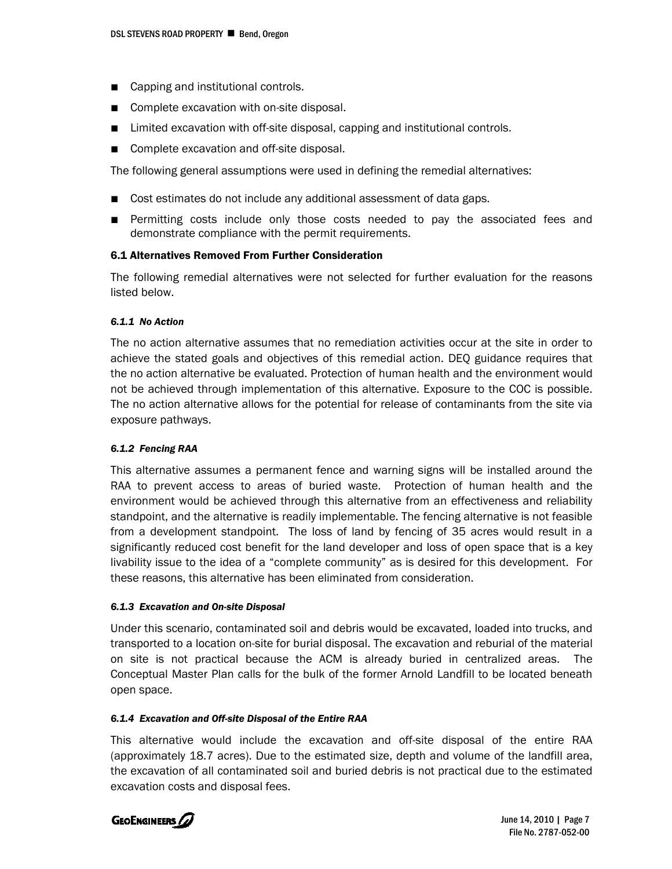- Capping and institutional controls.
- Complete excavation with on-site disposal.
- Limited excavation with off-site disposal, capping and institutional controls.
- Complete excavation and off-site disposal.

The following general assumptions were used in defining the remedial alternatives:

- Cost estimates do not include any additional assessment of data gaps.
- Permitting costs include only those costs needed to pay the associated fees and demonstrate compliance with the permit requirements.

### 6.1 Alternatives Removed From Further Consideration

The following remedial alternatives were not selected for further evaluation for the reasons listed below.

#### *6.1.1 No Action*

The no action alternative assumes that no remediation activities occur at the site in order to achieve the stated goals and objectives of this remedial action. DEQ guidance requires that the no action alternative be evaluated. Protection of human health and the environment would not be achieved through implementation of this alternative. Exposure to the COC is possible. The no action alternative allows for the potential for release of contaminants from the site via exposure pathways.

### *6.1.2 Fencing RAA*

This alternative assumes a permanent fence and warning signs will be installed around the RAA to prevent access to areas of buried waste. Protection of human health and the environment would be achieved through this alternative from an effectiveness and reliability standpoint, and the alternative is readily implementable. The fencing alternative is not feasible from a development standpoint. The loss of land by fencing of 35 acres would result in a significantly reduced cost benefit for the land developer and loss of open space that is a key livability issue to the idea of a "complete community" as is desired for this development. For these reasons, this alternative has been eliminated from consideration.

#### *6.1.3 Excavation and On-site Disposal*

Under this scenario, contaminated soil and debris would be excavated, loaded into trucks, and transported to a location on-site for burial disposal. The excavation and reburial of the material on site is not practical because the ACM is already buried in centralized areas. The Conceptual Master Plan calls for the bulk of the former Arnold Landfill to be located beneath open space.

### *6.1.4 Excavation and Off-site Disposal of the Entire RAA*

This alternative would include the excavation and off-site disposal of the entire RAA (approximately 18.7 acres). Due to the estimated size, depth and volume of the landfill area, the excavation of all contaminated soil and buried debris is not practical due to the estimated excavation costs and disposal fees.

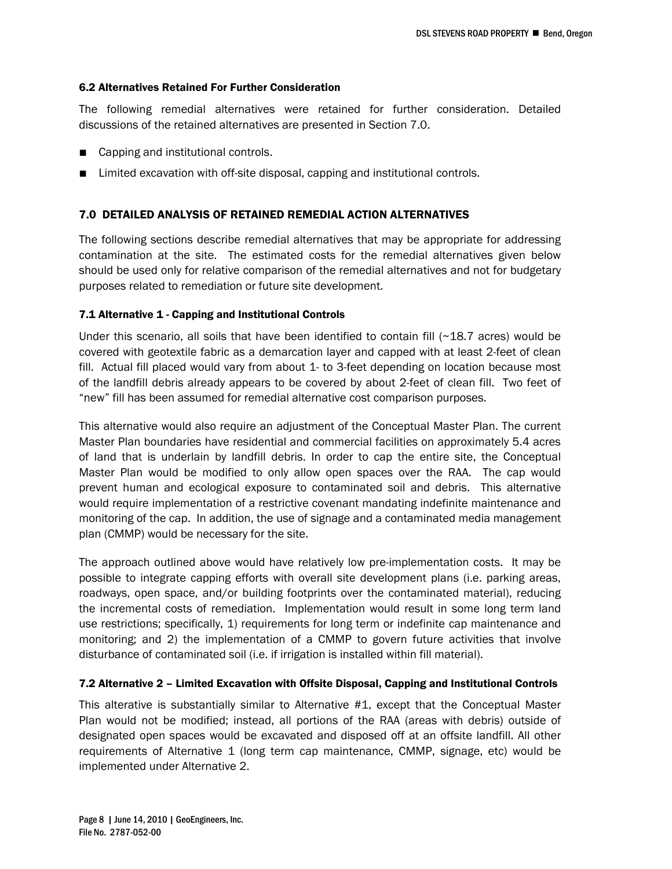#### 6.2 Alternatives Retained For Further Consideration

The following remedial alternatives were retained for further consideration. Detailed discussions of the retained alternatives are presented in Section 7.0.

- Capping and institutional controls.
- Limited excavation with off-site disposal, capping and institutional controls.

# 7.0 DETAILED ANALYSIS OF RETAINED REMEDIAL ACTION ALTERNATIVES

The following sections describe remedial alternatives that may be appropriate for addressing contamination at the site. The estimated costs for the remedial alternatives given below should be used only for relative comparison of the remedial alternatives and not for budgetary purposes related to remediation or future site development.

### 7.1 Alternative 1 - Capping and Institutional Controls

Under this scenario, all soils that have been identified to contain fill  $(~18.7$  acres) would be covered with geotextile fabric as a demarcation layer and capped with at least 2-feet of clean fill. Actual fill placed would vary from about 1- to 3-feet depending on location because most of the landfill debris already appears to be covered by about 2-feet of clean fill. Two feet of "new" fill has been assumed for remedial alternative cost comparison purposes.

This alternative would also require an adjustment of the Conceptual Master Plan. The current Master Plan boundaries have residential and commercial facilities on approximately 5.4 acres of land that is underlain by landfill debris. In order to cap the entire site, the Conceptual Master Plan would be modified to only allow open spaces over the RAA. The cap would prevent human and ecological exposure to contaminated soil and debris. This alternative would require implementation of a restrictive covenant mandating indefinite maintenance and monitoring of the cap. In addition, the use of signage and a contaminated media management plan (CMMP) would be necessary for the site.

The approach outlined above would have relatively low pre-implementation costs. It may be possible to integrate capping efforts with overall site development plans (i.e. parking areas, roadways, open space, and/or building footprints over the contaminated material), reducing the incremental costs of remediation. Implementation would result in some long term land use restrictions; specifically, 1) requirements for long term or indefinite cap maintenance and monitoring; and 2) the implementation of a CMMP to govern future activities that involve disturbance of contaminated soil (i.e. if irrigation is installed within fill material).

### 7.2 Alternative 2 – Limited Excavation with Offsite Disposal, Capping and Institutional Controls

This alterative is substantially similar to Alternative #1, except that the Conceptual Master Plan would not be modified; instead, all portions of the RAA (areas with debris) outside of designated open spaces would be excavated and disposed off at an offsite landfill. All other requirements of Alternative 1 (long term cap maintenance, CMMP, signage, etc) would be implemented under Alternative 2.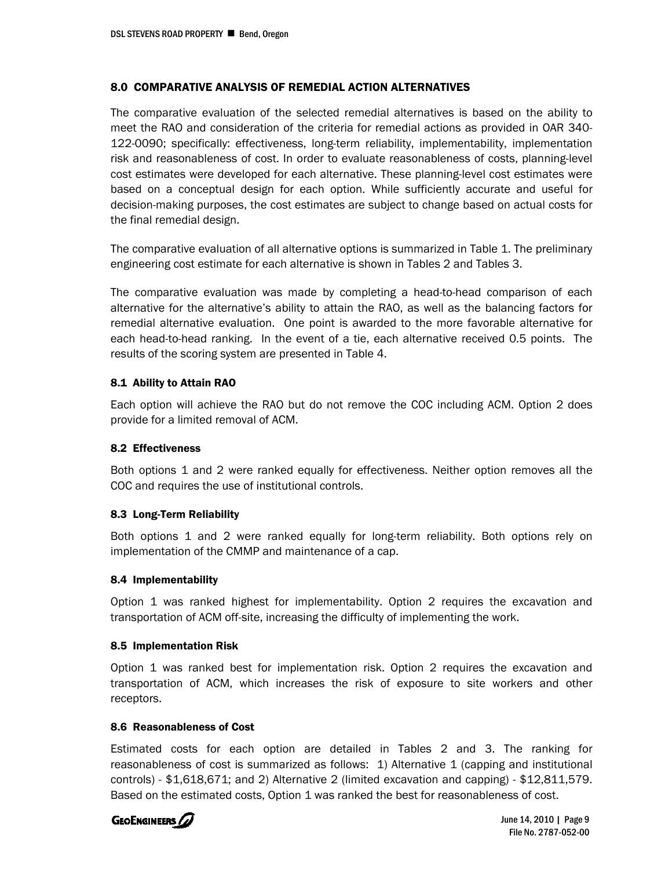# 8.0 COMPARATIVE ANALYSIS OF REMEDIAL ACTION ALTERNATIVES

The comparative evaluation of the selected remedial alternatives is based on the ability to meet the RAO and consideration of the criteria for remedial actions as provided in OAR 340- 122-0090; specifically: effectiveness, long-term reliability, implementability, implementation risk and reasonableness of cost. In order to evaluate reasonableness of costs, planning-level cost estimates were developed for each alternative. These planning-level cost estimates were based on a conceptual design for each option. While sufficiently accurate and useful for decision-making purposes, the cost estimates are subject to change based on actual costs for the final remedial design.

The comparative evaluation of all alternative options is summarized in Table 1. The preliminary engineering cost estimate for each alternative is shown in Tables 2 and Tables 3.

The comparative evaluation was made by completing a head-to-head comparison of each alternative for the alternative's ability to attain the RAO, as well as the balancing factors for remedial alternative evaluation. One point is awarded to the more favorable alternative for each head-to-head ranking. In the event of a tie, each alternative received 0.5 points. The results of the scoring system are presented in Table 4.

### 8.1 Ability to Attain RAO

Each option will achieve the RAO but do not remove the COC including ACM. Option 2 does provide for a limited removal of ACM.

### 8.2 Effectiveness

Both options 1 and 2 were ranked equally for effectiveness. Neither option removes all the COC and requires the use of institutional controls.

### 8.3 Long-Term Reliability

Both options 1 and 2 were ranked equally for long-term reliability. Both options rely on implementation of the CMMP and maintenance of a cap.

### 8.4 Implementability

Option 1 was ranked highest for implementability. Option 2 requires the excavation and transportation of ACM off-site, increasing the difficulty of implementing the work.

### 8.5 Implementation Risk

Option 1 was ranked best for implementation risk. Option 2 requires the excavation and transportation of ACM, which increases the risk of exposure to site workers and other receptors.

### 8.6 Reasonableness of Cost

Estimated costs for each option are detailed in Tables 2 and 3. The ranking for reasonableness of cost is summarized as follows: 1) Alternative 1 (capping and institutional controls) - \$1,618,671; and 2) Alternative 2 (limited excavation and capping) - \$12,811,579. Based on the estimated costs, Option 1 was ranked the best for reasonableness of cost.



June 14, 2010 | Page 9 File No. 2787-052-00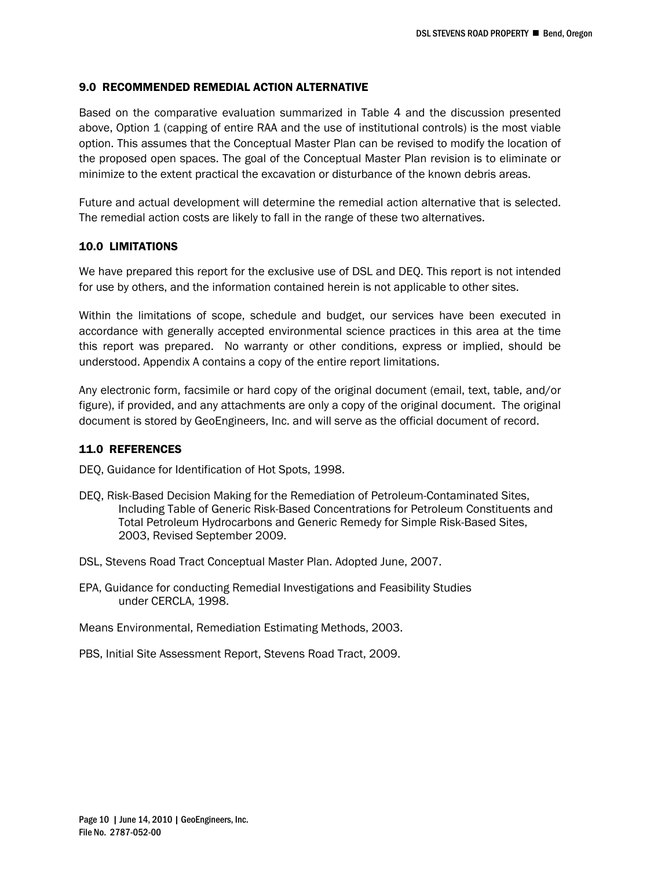# 9.0 RECOMMENDED REMEDIAL ACTION ALTERNATIVE

Based on the comparative evaluation summarized in Table 4 and the discussion presented above, Option 1 (capping of entire RAA and the use of institutional controls) is the most viable option. This assumes that the Conceptual Master Plan can be revised to modify the location of the proposed open spaces. The goal of the Conceptual Master Plan revision is to eliminate or minimize to the extent practical the excavation or disturbance of the known debris areas.

Future and actual development will determine the remedial action alternative that is selected. The remedial action costs are likely to fall in the range of these two alternatives.

### 10.0 LIMITATIONS

We have prepared this report for the exclusive use of DSL and DEQ. This report is not intended for use by others, and the information contained herein is not applicable to other sites.

Within the limitations of scope, schedule and budget, our services have been executed in accordance with generally accepted environmental science practices in this area at the time this report was prepared. No warranty or other conditions, express or implied, should be understood. Appendix A contains a copy of the entire report limitations.

Any electronic form, facsimile or hard copy of the original document (email, text, table, and/or figure), if provided, and any attachments are only a copy of the original document. The original document is stored by GeoEngineers, Inc. and will serve as the official document of record.

### 11.0 REFERENCES

DEQ, Guidance for Identification of Hot Spots, 1998.

- DEQ, Risk-Based Decision Making for the Remediation of Petroleum-Contaminated Sites, Including Table of Generic Risk-Based Concentrations for Petroleum Constituents and Total Petroleum Hydrocarbons and Generic Remedy for Simple Risk-Based Sites, 2003, Revised September 2009.
- DSL, Stevens Road Tract Conceptual Master Plan. Adopted June, 2007.
- EPA, Guidance for conducting Remedial Investigations and Feasibility Studies under CERCLA, 1998.

Means Environmental, Remediation Estimating Methods, 2003.

PBS, Initial Site Assessment Report, Stevens Road Tract, 2009.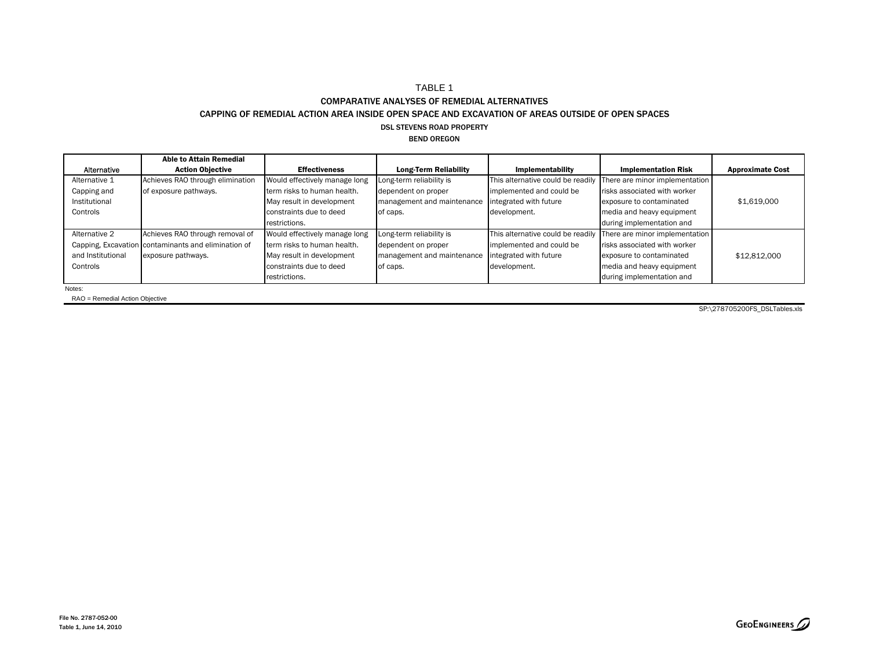#### TABLE 1 COMPARATIVE ANALYSES OF REMEDIAL ALTERNATIVES

#### CAPPING OF REMEDIAL ACTION AREA INSIDE OPEN SPACE AND EXCAVATION OF AREAS OUTSIDE OF OPEN SPACES

#### DSL STEVENS ROAD PROPERTY

#### BEND OREGON

|                   | <b>Able to Attain Remedial</b>                      |                               |                              |                                   |                                |                         |
|-------------------|-----------------------------------------------------|-------------------------------|------------------------------|-----------------------------------|--------------------------------|-------------------------|
| Alternative       | <b>Action Objective</b>                             | <b>Effectiveness</b>          | <b>Long-Term Reliability</b> | Implementability                  | <b>Implementation Risk</b>     | <b>Approximate Cost</b> |
| Alternative 1     | Achieves RAO through elimination                    | Would effectively manage long | Long-term reliability is     | This alternative could be readily | There are minor implementation |                         |
| Capping and       | of exposure pathways.                               | term risks to human health.   | dependent on proper          | implemented and could be          | risks associated with worker   |                         |
| Institutional     |                                                     | May result in development     | management and maintenance   | integrated with future            | exposure to contaminated       | \$1,619,000             |
| Controls          |                                                     | constraints due to deed       | of caps.                     | development.                      | media and heavy equipment      |                         |
|                   |                                                     | restrictions.                 |                              |                                   | during implementation and      |                         |
| Alternative 2     | Achieves RAO through removal of                     | Would effectively manage long | Long-term reliability is     | This alternative could be readily | There are minor implementation |                         |
|                   | Capping, Excavation contaminants and elimination of | term risks to human health.   | dependent on proper          | implemented and could be          | risks associated with worker   |                         |
| and Institutional | exposure pathways.                                  | May result in development     | management and maintenance   | integrated with future            | exposure to contaminated       | \$12,812,000            |
| Controls          |                                                     | constraints due to deed       | of caps.                     | development.                      | media and heavy equipment      |                         |
|                   |                                                     | restrictions.                 |                              |                                   | during implementation and      |                         |
|                   |                                                     |                               |                              |                                   |                                |                         |

Notes:

RAO = Remedial Action Objective

SP:\278705200FS\_DSLTables.xls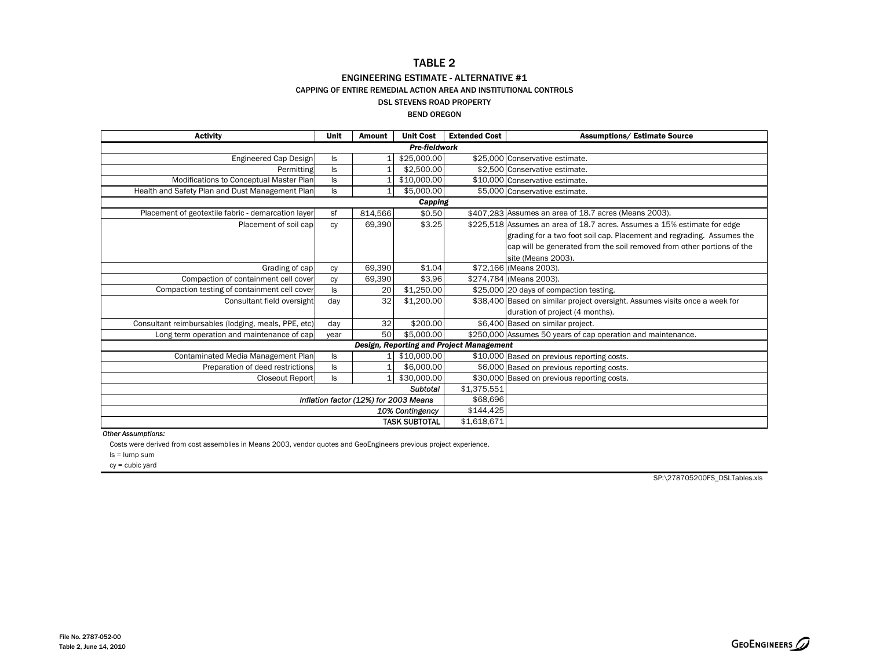# TABLE 2

#### ENGINEERING ESTIMATE - ALTERNATIVE #1

CAPPING OF ENTIRE REMEDIAL ACTION AREA AND INSTITUTIONAL CONTROLS

#### DSL STEVENS ROAD PROPERTY

#### BEND OREGON

| <b>Activity</b>                                     | Unit          | <b>Amount</b>                         | <b>Unit Cost</b>     | <b>Extended Cost</b>                     | <b>Assumptions/ Estimate Source</b>                                         |  |  |
|-----------------------------------------------------|---------------|---------------------------------------|----------------------|------------------------------------------|-----------------------------------------------------------------------------|--|--|
|                                                     | Pre-fieldwork |                                       |                      |                                          |                                                                             |  |  |
| Engineered Cap Design                               | ls.           |                                       | \$25,000.00          |                                          | \$25,000 Conservative estimate.                                             |  |  |
| Permitting                                          | ls.           |                                       | \$2,500.00           |                                          | \$2,500 Conservative estimate.                                              |  |  |
| Modifications to Conceptual Master Plan             | ls.           |                                       | \$10,000.00          |                                          | \$10,000 Conservative estimate.                                             |  |  |
| Health and Safety Plan and Dust Management Plan     | ls.           | 1                                     | \$5,000.00           |                                          | \$5,000 Conservative estimate.                                              |  |  |
|                                                     |               |                                       | Capping              |                                          |                                                                             |  |  |
| Placement of geotextile fabric - demarcation layer  | sf            | 814,566                               | \$0.50               |                                          | \$407,283 Assumes an area of 18.7 acres (Means 2003).                       |  |  |
| Placement of soil cap                               | Cy            | 69,390                                | \$3.25               |                                          | \$225,518 Assumes an area of 18.7 acres. Assumes a 15% estimate for edge    |  |  |
|                                                     |               |                                       |                      |                                          | grading for a two foot soil cap. Placement and regrading. Assumes the       |  |  |
|                                                     |               |                                       |                      |                                          | cap will be generated from the soil removed from other portions of the      |  |  |
|                                                     |               |                                       |                      |                                          | site (Means 2003).                                                          |  |  |
| Grading of cap                                      | Cy            | 69.390                                | \$1.04               |                                          | \$72,166 (Means 2003).                                                      |  |  |
| Compaction of containment cell cover                | сy            | 69,390                                | \$3.96               |                                          | \$274,784 (Means 2003).                                                     |  |  |
| Compaction testing of containment cell cover        | ls            | 20                                    | \$1,250.00           |                                          | \$25,000 20 days of compaction testing.                                     |  |  |
| Consultant field oversight                          | day           | 32                                    | \$1,200.00           |                                          | \$38,400 Based on similar project oversight. Assumes visits once a week for |  |  |
|                                                     |               |                                       |                      |                                          | duration of project (4 months).                                             |  |  |
| Consultant reimbursables (lodging, meals, PPE, etc) | day           | 32                                    | \$200.00             |                                          | \$6,400 Based on similar project.                                           |  |  |
| Long term operation and maintenance of cap          | year          | 50 <sub>1</sub>                       | \$5,000,00           |                                          | \$250,000 Assumes 50 years of cap operation and maintenance.                |  |  |
|                                                     |               |                                       |                      | Design, Reporting and Project Management |                                                                             |  |  |
| Contaminated Media Management Plan                  | ls            |                                       | \$10,000.00          |                                          | \$10,000 Based on previous reporting costs.                                 |  |  |
| Preparation of deed restrictions                    | ls.           |                                       | \$6,000.00           |                                          | \$6,000 Based on previous reporting costs.                                  |  |  |
| <b>Closeout Report</b>                              | ls.           |                                       | \$30,000.00          |                                          | \$30,000 Based on previous reporting costs.                                 |  |  |
|                                                     |               |                                       | \$1,375,551          |                                          |                                                                             |  |  |
|                                                     |               | Inflation factor (12%) for 2003 Means |                      | \$68,696                                 |                                                                             |  |  |
|                                                     |               |                                       | 10% Contingency      | \$144,425                                |                                                                             |  |  |
|                                                     |               |                                       | <b>TASK SUBTOTAL</b> | \$1,618,671                              |                                                                             |  |  |

#### *Other Assumptions:*

Costs were derived from cost assemblies in Means 2003, vendor quotes and GeoEngineers previous project experience.

ls = lump sum

cy = cubic yard

SP:\278705200FS\_DSLTables.xls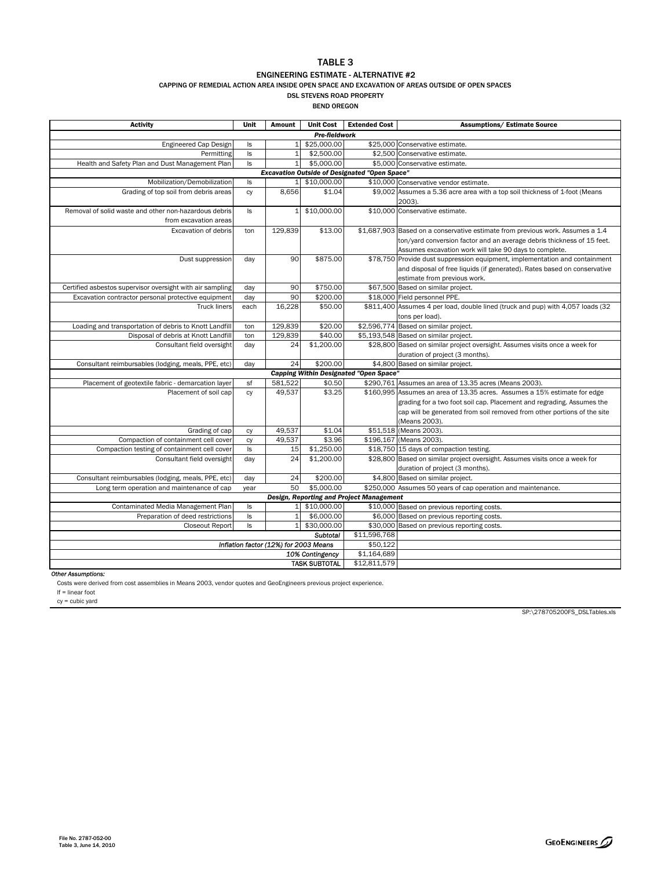### TABLE 3

#### ENGINEERING ESTIMATE - ALTERNATIVE #2

CAPPING OF REMEDIAL ACTION AREA INSIDE OPEN SPACE AND EXCAVATION OF AREAS OUTSIDE OF OPEN SPACES

DSL STEVENS ROAD PROPERTY BEND OREGON

| <b>Activity</b>                                                                | Unit                                                 | Amount                                | <b>Unit Cost</b>     | <b>Extended Cost</b>                          | <b>Assumptions/ Estimate Source</b>                                                                                                                                                                                                            |  |  |  |  |
|--------------------------------------------------------------------------------|------------------------------------------------------|---------------------------------------|----------------------|-----------------------------------------------|------------------------------------------------------------------------------------------------------------------------------------------------------------------------------------------------------------------------------------------------|--|--|--|--|
|                                                                                | Pre-fieldwork                                        |                                       |                      |                                               |                                                                                                                                                                                                                                                |  |  |  |  |
| Engineered Cap Design                                                          | ls                                                   | $1\vert$                              | \$25,000.00          |                                               | \$25,000 Conservative estimate.                                                                                                                                                                                                                |  |  |  |  |
| Permitting                                                                     | $\sf ls$                                             | $\mathbf{1}$                          | \$2,500.00           |                                               | \$2,500 Conservative estimate.                                                                                                                                                                                                                 |  |  |  |  |
| Health and Safety Plan and Dust Management Plan                                | $\sf ls$                                             | $1\vert$                              | \$5,000.00           |                                               | \$5,000 Conservative estimate.                                                                                                                                                                                                                 |  |  |  |  |
|                                                                                | <b>Excavation Outside of Designated "Open Space"</b> |                                       |                      |                                               |                                                                                                                                                                                                                                                |  |  |  |  |
| Mobilization/Demobilization                                                    | ls                                                   | $1\vert$                              | \$10,000.00          |                                               | \$10,000 Conservative vendor estimate.                                                                                                                                                                                                         |  |  |  |  |
| Grading of top soil from debris areas                                          | CV                                                   | 8,656                                 | \$1.04               |                                               | \$9,002 Assumes a 5.36 acre area with a top soil thickness of 1-foot (Means<br>2003).                                                                                                                                                          |  |  |  |  |
| Removal of solid waste and other non-hazardous debris<br>from excavation areas | ls.                                                  | $\mathbf{1}$                          | \$10,000.00          |                                               | \$10,000 Conservative estimate.                                                                                                                                                                                                                |  |  |  |  |
| <b>Excavation of debris</b>                                                    | ton                                                  | 129.839                               | \$13.00              |                                               | \$1,687,903 Based on a conservative estimate from previous work. Assumes a 1.4<br>ton/yard conversion factor and an average debris thickness of 15 feet.<br>Assumes excavation work will take 90 days to complete.                             |  |  |  |  |
| Dust suppression                                                               | day                                                  | 90                                    | \$875.00             |                                               | \$78,750 Provide dust suppression equipment, implementation and containment<br>and disposal of free liquids (if generated). Rates based on conservative<br>estimate from previous work.                                                        |  |  |  |  |
| Certified asbestos supervisor oversight with air sampling                      | day                                                  | 90                                    | \$750.00             |                                               | \$67,500 Based on similar project.                                                                                                                                                                                                             |  |  |  |  |
| Excavation contractor personal protective equipment                            | day                                                  | 90                                    | \$200.00             |                                               | \$18,000 Field personnel PPE.                                                                                                                                                                                                                  |  |  |  |  |
| <b>Truck liners</b>                                                            | each                                                 | 16.228                                | \$50.00              |                                               | \$811,400 Assumes 4 per load, double lined (truck and pup) with 4,057 loads (32<br>tons per load).                                                                                                                                             |  |  |  |  |
| Loading and transportation of debris to Knott Landfill                         | ton                                                  | 129.839                               | \$20.00              |                                               | \$2,596,774 Based on similar project.                                                                                                                                                                                                          |  |  |  |  |
| Disposal of debris at Knott Landfill                                           | ton                                                  | 129,839                               | \$40.00              |                                               | \$5,193,548 Based on similar project.                                                                                                                                                                                                          |  |  |  |  |
| Consultant field oversight                                                     | day                                                  | 24                                    | \$1,200.00           |                                               | \$28,800 Based on similar project oversight. Assumes visits once a week for<br>duration of project (3 months).                                                                                                                                 |  |  |  |  |
| Consultant reimbursables (lodging, meals, PPE, etc)                            | day                                                  | 24                                    | \$200.00             |                                               | \$4,800 Based on similar project.                                                                                                                                                                                                              |  |  |  |  |
|                                                                                |                                                      |                                       |                      | <b>Capping Within Designated "Open Space"</b> |                                                                                                                                                                                                                                                |  |  |  |  |
| Placement of geotextile fabric - demarcation layer                             | sf                                                   | 581.522                               | \$0.50               |                                               | \$290,761 Assumes an area of 13.35 acres (Means 2003).                                                                                                                                                                                         |  |  |  |  |
| Placement of soil cap                                                          | CV                                                   | 49.537                                | \$3.25               |                                               | \$160,995 Assumes an area of 13.35 acres. Assumes a 15% estimate for edge<br>grading for a two foot soil cap. Placement and regrading. Assumes the<br>cap will be generated from soil removed from other portions of the site<br>(Means 2003). |  |  |  |  |
| Grading of cap                                                                 | cy                                                   | 49,537                                | \$1.04               |                                               | \$51,518 (Means 2003).                                                                                                                                                                                                                         |  |  |  |  |
| Compaction of containment cell cover                                           | cy                                                   | 49,537                                | \$3.96               |                                               | \$196,167 (Means 2003).                                                                                                                                                                                                                        |  |  |  |  |
| Compaction testing of containment cell cover                                   | Is                                                   | 15                                    | \$1,250.00           |                                               | \$18,750 15 days of compaction testing.                                                                                                                                                                                                        |  |  |  |  |
| Consultant field oversight                                                     | day                                                  | 24                                    | \$1,200.00           |                                               | \$28,800 Based on similar project oversight. Assumes visits once a week for<br>duration of project (3 months).                                                                                                                                 |  |  |  |  |
| Consultant reimbursables (lodging, meals, PPE, etc)                            | day                                                  | 24                                    | \$200.00             |                                               | \$4,800 Based on similar project.                                                                                                                                                                                                              |  |  |  |  |
| Long term operation and maintenance of cap                                     | year                                                 | 50                                    | \$5,000.00           |                                               | \$250,000 Assumes 50 years of cap operation and maintenance.                                                                                                                                                                                   |  |  |  |  |
| Design, Reporting and Project Management                                       |                                                      |                                       |                      |                                               |                                                                                                                                                                                                                                                |  |  |  |  |
| Contaminated Media Management Plan                                             | ls                                                   |                                       | 1 \$10,000.00        |                                               | \$10,000 Based on previous reporting costs.                                                                                                                                                                                                    |  |  |  |  |
| Preparation of deed restrictions                                               | ls                                                   | $1\vert$                              | \$6,000.00           |                                               | \$6,000 Based on previous reporting costs.                                                                                                                                                                                                     |  |  |  |  |
| <b>Closeout Report</b>                                                         | ls                                                   | $\mathbf{1}$                          | \$30,000.00          |                                               | \$30,000 Based on previous reporting costs.                                                                                                                                                                                                    |  |  |  |  |
|                                                                                |                                                      |                                       | <b>Subtotal</b>      | \$11,596,768                                  |                                                                                                                                                                                                                                                |  |  |  |  |
|                                                                                |                                                      | Inflation factor (12%) for 2003 Means |                      | \$50,122                                      |                                                                                                                                                                                                                                                |  |  |  |  |
|                                                                                |                                                      |                                       | 10% Contingency      | \$1,164,689                                   |                                                                                                                                                                                                                                                |  |  |  |  |
|                                                                                |                                                      |                                       | <b>TASK SUBTOTAL</b> | \$12,811,579                                  |                                                                                                                                                                                                                                                |  |  |  |  |

*Other Assumptions:*

Costs were derived from cost assemblies in Means 2003, vendor quotes and GeoEngineers previous project experience.

lf = linear foot

cy = cubic yard

SP:\278705200FS\_DSLTables.xls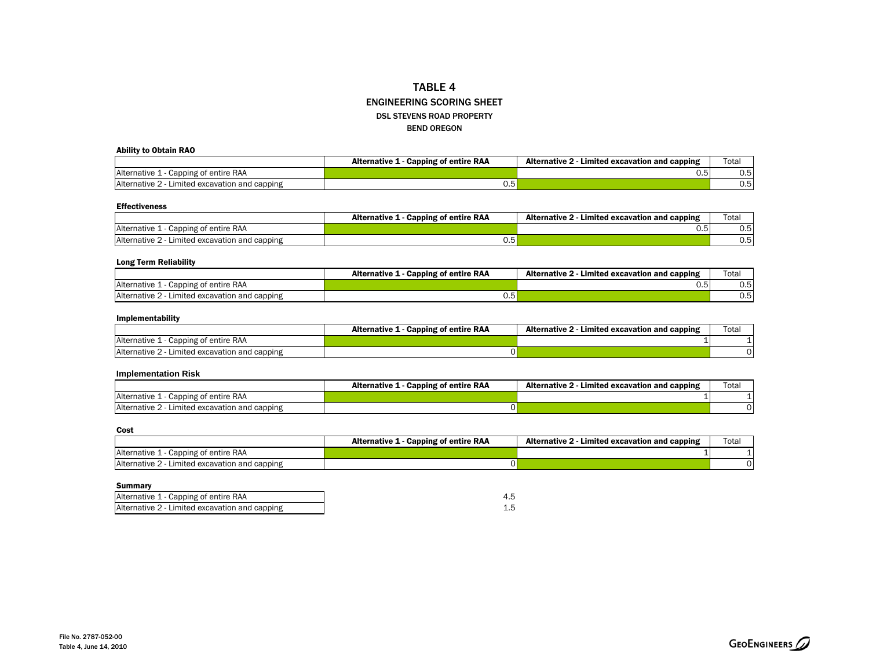#### TABLE 4 ENGINEERING SCORING SHEETDSL STEVENS ROAD PROPERTYBEND OREGON

#### Ability to Obtain RAO

|                                                 | <b>Capping of entire RAA</b><br><b>Alternative 1</b> | Alternative 2<br>Limited excavation and capping | Total          |
|-------------------------------------------------|------------------------------------------------------|-------------------------------------------------|----------------|
| Capping of entire RAA<br>Alternative L          |                                                      | ◡.◡                                             | ບ.ບ            |
| Alternative 2<br>Limited excavation and capping | U.5                                                  |                                                 | $0.5^{\prime}$ |

#### Effectiveness

|                                                   | <b>Alternative 1</b><br><b>Capping of entire RAA</b> | Limited excavation and capping<br><b>Alternative 2</b> | Total                |
|---------------------------------------------------|------------------------------------------------------|--------------------------------------------------------|----------------------|
| Alternative 1<br>1 - Capping of entire RAA        |                                                      | --<br>∪.∪                                              | $\sim$ $\sim$<br>0.5 |
| Alternative 2 -<br>Limited excavation and capping | 0.5'                                                 |                                                        | $0.5^{\circ}$        |

#### Long Term Reliability

|                                                     | <b>Capping of entire RAA</b><br><b>Alternative 1</b> | <b>Alternative 2</b><br>Limited excavation and capping | Tota <sub>i</sub>    |
|-----------------------------------------------------|------------------------------------------------------|--------------------------------------------------------|----------------------|
| Alternative 1<br>Capping of entire RAA              |                                                      | ◡.◡                                                    | $\sim$ $\sim$<br>0.5 |
| Alternative 2<br>2 - Limited excavation and capping | 0.5                                                  |                                                        | 0.5                  |

#### Implementability

|                                                | <b>Alternative 1</b><br>Capping of entire RAA | <b>Alternative 2</b><br>- Limited excavation and capping | Tota <sub>i</sub> |
|------------------------------------------------|-----------------------------------------------|----------------------------------------------------------|-------------------|
| Alternative 1 -<br>1 - Capping of entire RAA   |                                               |                                                          |                   |
| Alternative 2 - Limited excavation and capping |                                               |                                                          |                   |

#### **Implementation Risk**

|                                                 | <b>L - Capping of entire RAA</b><br>Alternative 1 | <b>Alternative 2</b><br>Limited excavation and capping | Total |
|-------------------------------------------------|---------------------------------------------------|--------------------------------------------------------|-------|
| Capping of entire RAA<br>Alternative L          |                                                   |                                                        |       |
| Alternative 2<br>Limited excavation and capping |                                                   |                                                        |       |

#### Cost

|                                                 | Alternative 1 -<br><b>Capping of entire RAA</b> | Alternative 2<br>Limited excavation and capping | Tota. |
|-------------------------------------------------|-------------------------------------------------|-------------------------------------------------|-------|
| Alternative 1<br>Capping of entire RAA          |                                                 |                                                 |       |
| Alternative 2<br>Limited excavation and capping |                                                 |                                                 |       |

#### Summary

| Alternative 1 - Capping of entire RAA          |  |
|------------------------------------------------|--|
| Alternative 2 - Limited excavation and capping |  |

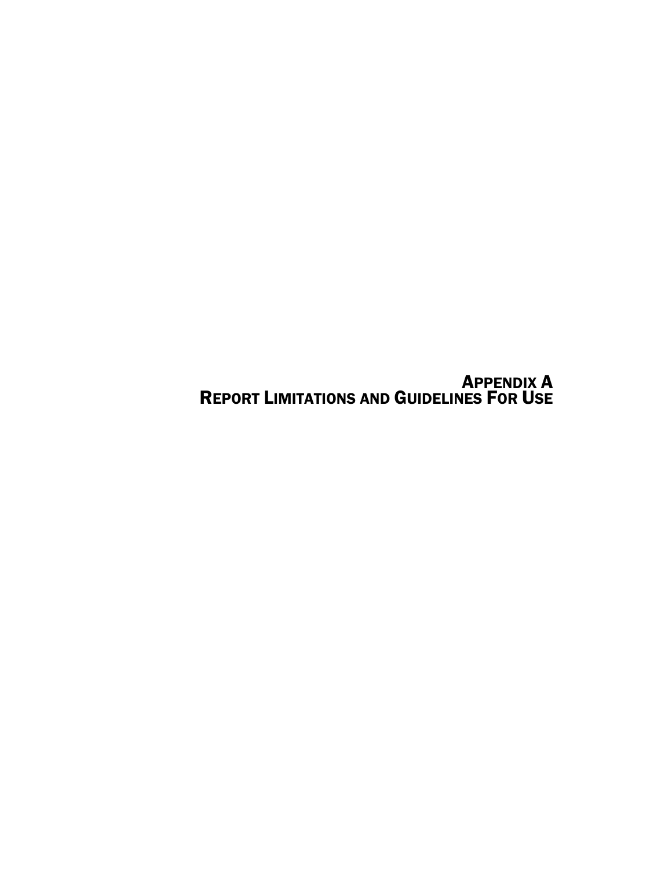APPENDIX A REPORT LIMITATIONS AND GUIDELINES FOR USE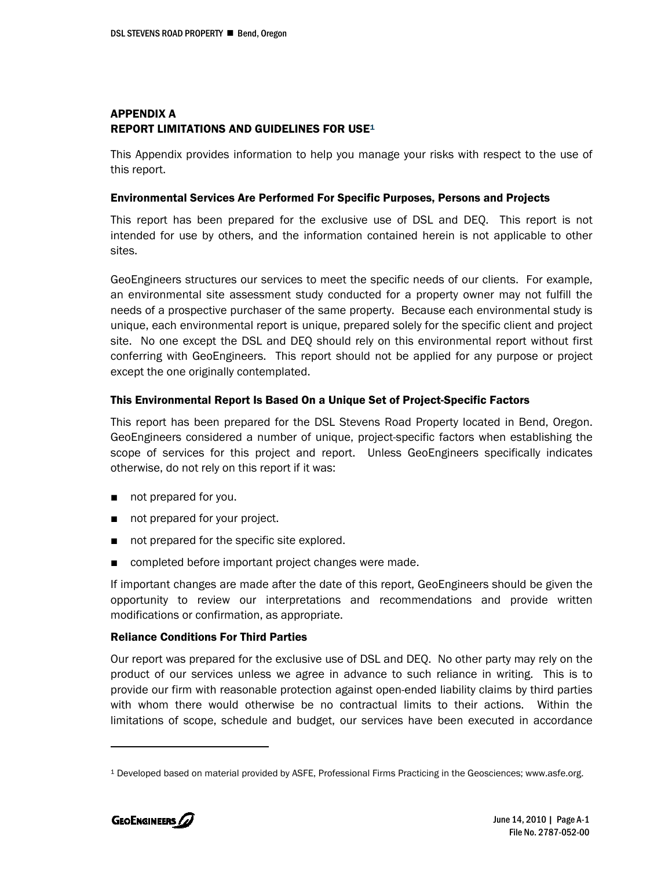# APPENDIX A REPORT LIMITATIONS AND GUIDELINES FOR USE1

This Appendix provides information to help you manage your risks with respect to the use of this report.

#### Environmental Services Are Performed For Specific Purposes, Persons and Projects

This report has been prepared for the exclusive use of DSL and DEQ. This report is not intended for use by others, and the information contained herein is not applicable to other sites.

GeoEngineers structures our services to meet the specific needs of our clients. For example, an environmental site assessment study conducted for a property owner may not fulfill the needs of a prospective purchaser of the same property. Because each environmental study is unique, each environmental report is unique, prepared solely for the specific client and project site. No one except the DSL and DEQ should rely on this environmental report without first conferring with GeoEngineers. This report should not be applied for any purpose or project except the one originally contemplated.

#### This Environmental Report Is Based On a Unique Set of Project-Specific Factors

This report has been prepared for the DSL Stevens Road Property located in Bend, Oregon. GeoEngineers considered a number of unique, project-specific factors when establishing the scope of services for this project and report. Unless GeoEngineers specifically indicates otherwise, do not rely on this report if it was:

- not prepared for you.
- not prepared for your project.
- not prepared for the specific site explored.
- completed before important project changes were made.

If important changes are made after the date of this report, GeoEngineers should be given the opportunity to review our interpretations and recommendations and provide written modifications or confirmation, as appropriate.

### Reliance Conditions For Third Parties

Our report was prepared for the exclusive use of DSL and DEQ. No other party may rely on the product of our services unless we agree in advance to such reliance in writing. This is to provide our firm with reasonable protection against open-ended liability claims by third parties with whom there would otherwise be no contractual limits to their actions. Within the limitations of scope, schedule and budget, our services have been executed in accordance

<sup>1</sup> Developed based on material provided by ASFE, Professional Firms Practicing in the Geosciences; www.asfe.org.

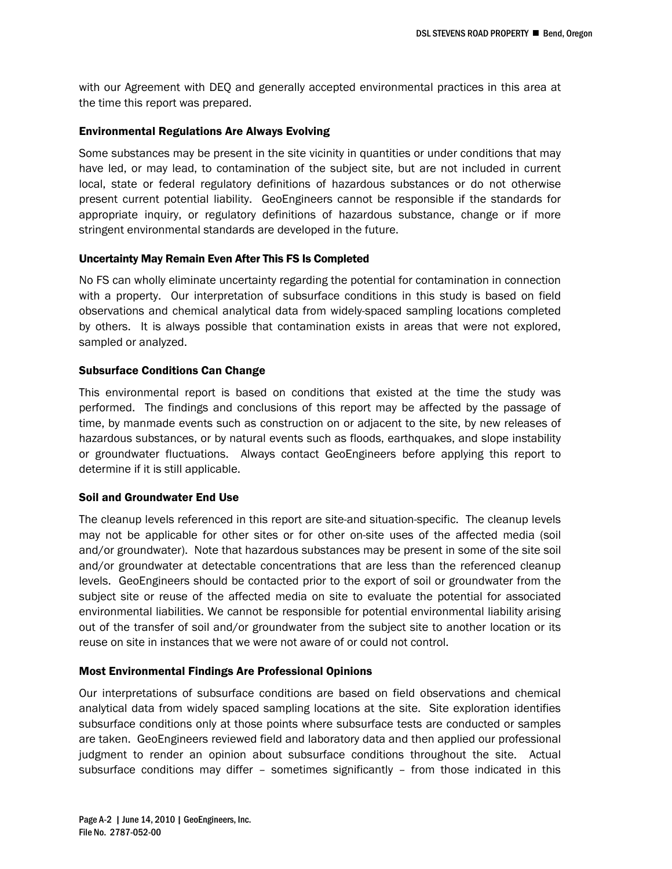with our Agreement with DEQ and generally accepted environmental practices in this area at the time this report was prepared.

#### Environmental Regulations Are Always Evolving

Some substances may be present in the site vicinity in quantities or under conditions that may have led, or may lead, to contamination of the subject site, but are not included in current local, state or federal regulatory definitions of hazardous substances or do not otherwise present current potential liability. GeoEngineers cannot be responsible if the standards for appropriate inquiry, or regulatory definitions of hazardous substance, change or if more stringent environmental standards are developed in the future.

#### Uncertainty May Remain Even After This FS Is Completed

No FS can wholly eliminate uncertainty regarding the potential for contamination in connection with a property. Our interpretation of subsurface conditions in this study is based on field observations and chemical analytical data from widely-spaced sampling locations completed by others. It is always possible that contamination exists in areas that were not explored, sampled or analyzed.

#### Subsurface Conditions Can Change

This environmental report is based on conditions that existed at the time the study was performed. The findings and conclusions of this report may be affected by the passage of time, by manmade events such as construction on or adjacent to the site, by new releases of hazardous substances, or by natural events such as floods, earthquakes, and slope instability or groundwater fluctuations. Always contact GeoEngineers before applying this report to determine if it is still applicable.

### Soil and Groundwater End Use

The cleanup levels referenced in this report are site-and situation-specific. The cleanup levels may not be applicable for other sites or for other on-site uses of the affected media (soil and/or groundwater). Note that hazardous substances may be present in some of the site soil and/or groundwater at detectable concentrations that are less than the referenced cleanup levels. GeoEngineers should be contacted prior to the export of soil or groundwater from the subject site or reuse of the affected media on site to evaluate the potential for associated environmental liabilities. We cannot be responsible for potential environmental liability arising out of the transfer of soil and/or groundwater from the subject site to another location or its reuse on site in instances that we were not aware of or could not control.

### Most Environmental Findings Are Professional Opinions

Our interpretations of subsurface conditions are based on field observations and chemical analytical data from widely spaced sampling locations at the site. Site exploration identifies subsurface conditions only at those points where subsurface tests are conducted or samples are taken. GeoEngineers reviewed field and laboratory data and then applied our professional judgment to render an opinion about subsurface conditions throughout the site. Actual subsurface conditions may differ – sometimes significantly – from those indicated in this